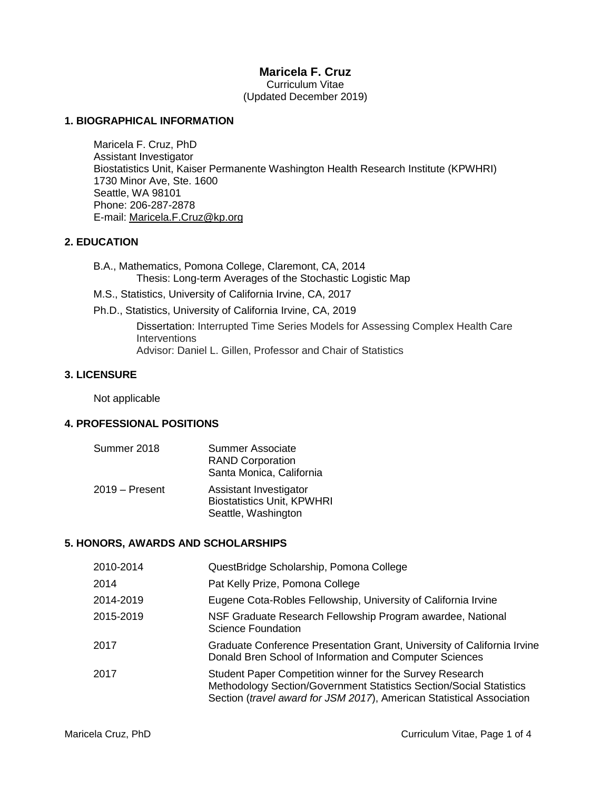# **Maricela F. Cruz**

Curriculum Vitae (Updated December 2019)

## **1. BIOGRAPHICAL INFORMATION**

 Maricela F. Cruz, PhD Assistant Investigator Biostatistics Unit, Kaiser Permanente Washington Health Research Institute (KPWHRI) 1730 Minor Ave, Ste. 1600 Seattle, WA 98101 Phone: 206-287-2878 E-mail: [Maricela.F.Cruz@kp.org](mailto:Maricela.F.Cruz@kp.org)

# **2. EDUCATION**

B.A., Mathematics, Pomona College, Claremont, CA, 2014 Thesis: Long-term Averages of the Stochastic Logistic Map

- M.S., Statistics, University of California Irvine, CA, 2017
- Ph.D., Statistics, University of California Irvine, CA, 2019

Dissertation: Interrupted Time Series Models for Assessing Complex Health Care **Interventions** Advisor: Daniel L. Gillen, Professor and Chair of Statistics

#### **3. LICENSURE**

Not applicable

# **4. PROFESSIONAL POSITIONS**

| Summer 2018      | <b>Summer Associate</b><br><b>RAND Corporation</b><br>Santa Monica, California     |
|------------------|------------------------------------------------------------------------------------|
| $2019 -$ Present | Assistant Investigator<br><b>Biostatistics Unit, KPWHRI</b><br>Seattle, Washington |

### **5. HONORS, AWARDS AND SCHOLARSHIPS**

| 2010-2014 | QuestBridge Scholarship, Pomona College                                                                                                                                                                  |
|-----------|----------------------------------------------------------------------------------------------------------------------------------------------------------------------------------------------------------|
| 2014      | Pat Kelly Prize, Pomona College                                                                                                                                                                          |
| 2014-2019 | Eugene Cota-Robles Fellowship, University of California Irvine                                                                                                                                           |
| 2015-2019 | NSF Graduate Research Fellowship Program awardee, National<br><b>Science Foundation</b>                                                                                                                  |
| 2017      | Graduate Conference Presentation Grant, University of California Irvine<br>Donald Bren School of Information and Computer Sciences                                                                       |
| 2017      | Student Paper Competition winner for the Survey Research<br>Methodology Section/Government Statistics Section/Social Statistics<br>Section (travel award for JSM 2017), American Statistical Association |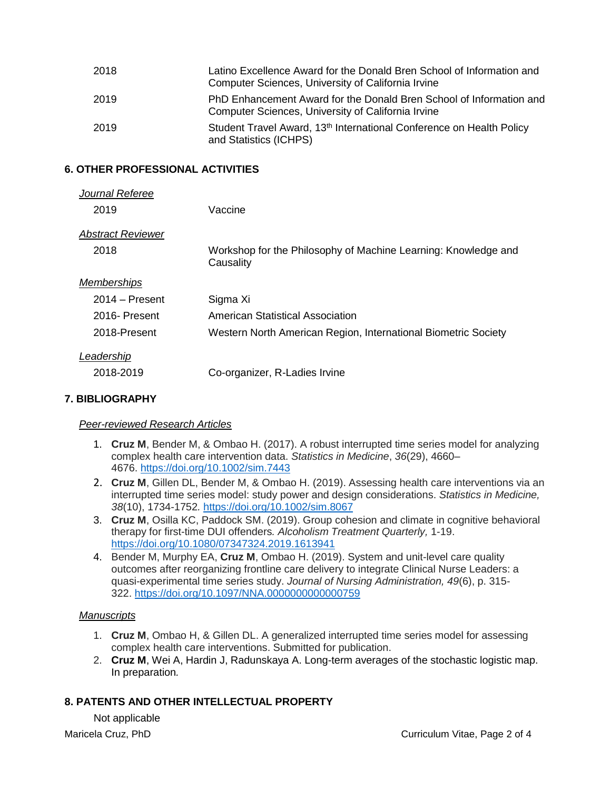| 2018 | Latino Excellence Award for the Donald Bren School of Information and<br>Computer Sciences, University of California Irvine |
|------|-----------------------------------------------------------------------------------------------------------------------------|
| 2019 | PhD Enhancement Award for the Donald Bren School of Information and<br>Computer Sciences, University of California Irvine   |
| 2019 | Student Travel Award, 13th International Conference on Health Policy<br>and Statistics (ICHPS)                              |

# **6. OTHER PROFESSIONAL ACTIVITIES**

|            | Journal Referee    |                                                                             |
|------------|--------------------|-----------------------------------------------------------------------------|
| 2019       |                    | Vaccine                                                                     |
|            | Abstract Reviewer  |                                                                             |
| 2018       |                    | Workshop for the Philosophy of Machine Learning: Knowledge and<br>Causality |
|            | <b>Memberships</b> |                                                                             |
|            | $2014 -$ Present   | Sigma Xi                                                                    |
|            | 2016- Present      | American Statistical Association                                            |
|            | 2018-Present       | Western North American Region, International Biometric Society              |
| Leadership |                    |                                                                             |
|            | 2018-2019          | Co-organizer, R-Ladies Irvine                                               |
|            |                    |                                                                             |

## **7. BIBLIOGRAPHY**

### *Peer-reviewed Research Articles*

- 1. **Cruz M**, Bender M, & Ombao H. (2017). A robust interrupted time series model for analyzing complex health care intervention data. *Statistics in Medicine*, *36*(29), 4660– 4676. <https://doi.org/10.1002/sim.7443>
- 2. **Cruz M**, Gillen DL, Bender M, & Ombao H. (2019). Assessing health care interventions via an interrupted time series model: study power and design considerations. *Statistics in Medicine, 38*(10), 1734-1752*.* <https://doi.org/10.1002/sim.8067>
- 3. **Cruz M**, Osilla KC, Paddock SM. (2019). Group cohesion and climate in cognitive behavioral therapy for first-time DUI offenders*. Alcoholism Treatment Quarterly,* 1-19. <https://doi.org/10.1080/07347324.2019.1613941>
- 4. Bender M, Murphy EA, **Cruz M**, Ombao H. (2019). System and unit-level care quality outcomes after reorganizing frontline care delivery to integrate Clinical Nurse Leaders: a quasi-experimental time series study. *Journal of Nursing Administration, 49*(6), p. 315- 322. <https://doi.org/10.1097/NNA.0000000000000759>

### *Manuscripts*

- 1. **Cruz M**, Ombao H, & Gillen DL. A generalized interrupted time series model for assessing complex health care interventions. Submitted for publication.
- 2. **Cruz M**, Wei A, Hardin J, Radunskaya A. Long-term averages of the stochastic logistic map. In preparation*.*

# **8. PATENTS AND OTHER INTELLECTUAL PROPERTY**

Not applicable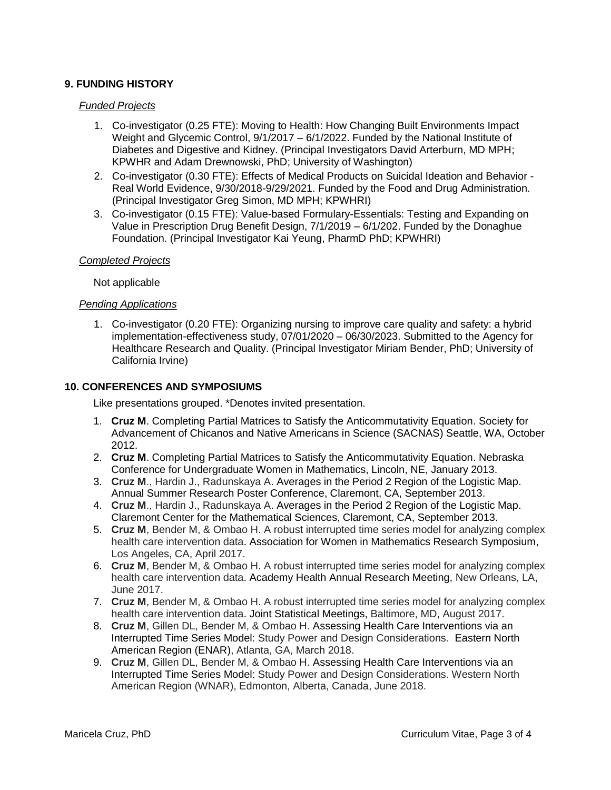# **9. FUNDING HISTORY**

#### *Funded Projects*

- 1. Co-investigator (0.25 FTE): Moving to Health: How Changing Built Environments Impact Weight and Glycemic Control, 9/1/2017 – 6/1/2022. Funded by the National Institute of Diabetes and Digestive and Kidney. (Principal Investigators David Arterburn, MD MPH; KPWHR and Adam Drewnowski, PhD; University of Washington)
- 2. Co-investigator (0.30 FTE): Effects of Medical Products on Suicidal Ideation and Behavior Real World Evidence, 9/30/2018-9/29/2021. Funded by the Food and Drug Administration. (Principal Investigator Greg Simon, MD MPH; KPWHRI)
- 3. Co-investigator (0.15 FTE): Value-based Formulary-Essentials: Testing and Expanding on Value in Prescription Drug Benefit Design, 7/1/2019 – 6/1/202. Funded by the Donaghue Foundation. (Principal Investigator Kai Yeung, PharmD PhD; KPWHRI)

#### *Completed Projects*

Not applicable

#### *Pending Applications*

1. Co-investigator (0.20 FTE): Organizing nursing to improve care quality and safety: a hybrid implementation-effectiveness study, 07/01/2020 – 06/30/2023. Submitted to the Agency for Healthcare Research and Quality. (Principal Investigator Miriam Bender, PhD; University of California Irvine)

#### **10. CONFERENCES AND SYMPOSIUMS**

Like presentations grouped. \*Denotes invited presentation.

- 1. **Cruz M**. Completing Partial Matrices to Satisfy the Anticommutativity Equation. Society for Advancement of Chicanos and Native Americans in Science (SACNAS) Seattle, WA, October 2012.
- 2. **Cruz M**. Completing Partial Matrices to Satisfy the Anticommutativity Equation. Nebraska Conference for Undergraduate Women in Mathematics, Lincoln, NE, January 2013.
- 3. **Cruz M**., Hardin J., Radunskaya A. Averages in the Period 2 Region of the Logistic Map. Annual Summer Research Poster Conference, Claremont, CA, September 2013.
- 4. **Cruz M**., Hardin J., Radunskaya A. Averages in the Period 2 Region of the Logistic Map. Claremont Center for the Mathematical Sciences, Claremont, CA, September 2013.
- 5. **Cruz M**, Bender M, & Ombao H. A robust interrupted time series model for analyzing complex health care intervention data. Association for Women in Mathematics Research Symposium, Los Angeles, CA, April 2017.
- 6. **Cruz M**, Bender M, & Ombao H. A robust interrupted time series model for analyzing complex health care intervention data. Academy Health Annual Research Meeting, New Orleans, LA, June 2017.
- 7. **Cruz M**, Bender M, & Ombao H. A robust interrupted time series model for analyzing complex health care intervention data. Joint Statistical Meetings, Baltimore, MD, August 2017.
- 8. **Cruz M**, Gillen DL, Bender M, & Ombao H. Assessing Health Care Interventions via an Interrupted Time Series Model: Study Power and Design Considerations. Eastern North American Region (ENAR), Atlanta, GA, March 2018.
- 9. **Cruz M**, Gillen DL, Bender M, & Ombao H. Assessing Health Care Interventions via an Interrupted Time Series Model: Study Power and Design Considerations. Western North American Region (WNAR), Edmonton, Alberta, Canada, June 2018.